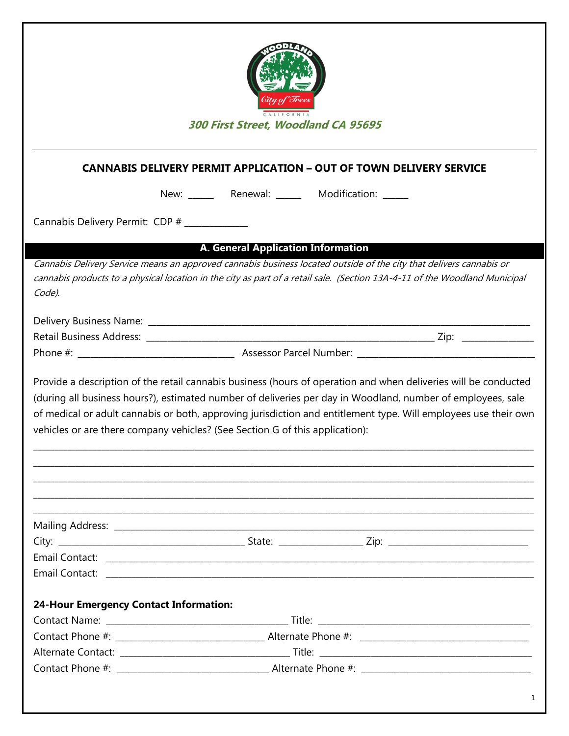| 300 First Street, Woodland CA 95695           |                                                                                                                                                                                                                                                                                                                                                                                                                                   |  |  |  |
|-----------------------------------------------|-----------------------------------------------------------------------------------------------------------------------------------------------------------------------------------------------------------------------------------------------------------------------------------------------------------------------------------------------------------------------------------------------------------------------------------|--|--|--|
|                                               | <b>CANNABIS DELIVERY PERMIT APPLICATION - OUT OF TOWN DELIVERY SERVICE</b>                                                                                                                                                                                                                                                                                                                                                        |  |  |  |
|                                               | New: ________ Renewal: _______ Modification: ______                                                                                                                                                                                                                                                                                                                                                                               |  |  |  |
| Cannabis Delivery Permit: CDP # __________    |                                                                                                                                                                                                                                                                                                                                                                                                                                   |  |  |  |
|                                               |                                                                                                                                                                                                                                                                                                                                                                                                                                   |  |  |  |
|                                               | <b>A. General Application Information</b>                                                                                                                                                                                                                                                                                                                                                                                         |  |  |  |
| Code).                                        | Cannabis Delivery Service means an approved cannabis business located outside of the city that delivers cannabis or<br>cannabis products to a physical location in the city as part of a retail sale. (Section 13A-4-11 of the Woodland Municipal                                                                                                                                                                                 |  |  |  |
|                                               |                                                                                                                                                                                                                                                                                                                                                                                                                                   |  |  |  |
|                                               |                                                                                                                                                                                                                                                                                                                                                                                                                                   |  |  |  |
|                                               |                                                                                                                                                                                                                                                                                                                                                                                                                                   |  |  |  |
|                                               | Provide a description of the retail cannabis business (hours of operation and when deliveries will be conducted<br>(during all business hours?), estimated number of deliveries per day in Woodland, number of employees, sale<br>of medical or adult cannabis or both, approving jurisdiction and entitlement type. Will employees use their own<br>vehicles or are there company vehicles? (See Section G of this application): |  |  |  |
|                                               |                                                                                                                                                                                                                                                                                                                                                                                                                                   |  |  |  |
|                                               |                                                                                                                                                                                                                                                                                                                                                                                                                                   |  |  |  |
|                                               |                                                                                                                                                                                                                                                                                                                                                                                                                                   |  |  |  |
| <b>24-Hour Emergency Contact Information:</b> |                                                                                                                                                                                                                                                                                                                                                                                                                                   |  |  |  |
|                                               |                                                                                                                                                                                                                                                                                                                                                                                                                                   |  |  |  |
|                                               |                                                                                                                                                                                                                                                                                                                                                                                                                                   |  |  |  |
|                                               |                                                                                                                                                                                                                                                                                                                                                                                                                                   |  |  |  |
|                                               |                                                                                                                                                                                                                                                                                                                                                                                                                                   |  |  |  |
|                                               |                                                                                                                                                                                                                                                                                                                                                                                                                                   |  |  |  |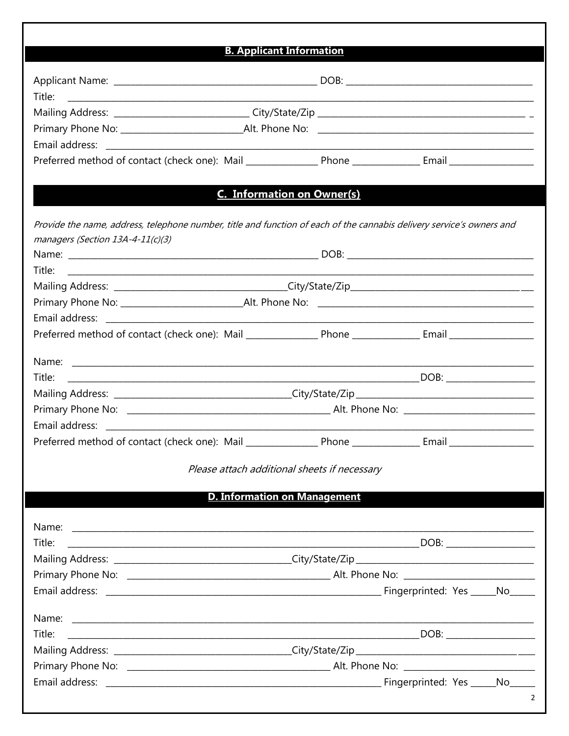| <b>B. Applicant Information</b>                                                                                                |  |  |                |
|--------------------------------------------------------------------------------------------------------------------------------|--|--|----------------|
|                                                                                                                                |  |  |                |
|                                                                                                                                |  |  |                |
| Title:<br><u> 2000 - Andreas Andreas Andreas Andreas Andreas Andreas Andreas Andreas Andreas Andreas Andreas Andreas Andre</u> |  |  |                |
|                                                                                                                                |  |  |                |
|                                                                                                                                |  |  |                |
|                                                                                                                                |  |  |                |
|                                                                                                                                |  |  |                |
| <b>C. Information on Owner(s)</b>                                                                                              |  |  |                |
| Provide the name, address, telephone number, title and function of each of the cannabis delivery service's owners and          |  |  |                |
| managers (Section 13A-4-11(c)(3)                                                                                               |  |  |                |
|                                                                                                                                |  |  |                |
| Title:                                                                                                                         |  |  |                |
| Mailing Address: _________________________________City/State/Zip___________________________________                            |  |  |                |
|                                                                                                                                |  |  |                |
|                                                                                                                                |  |  |                |
|                                                                                                                                |  |  |                |
|                                                                                                                                |  |  |                |
| Title:                                                                                                                         |  |  |                |
|                                                                                                                                |  |  |                |
|                                                                                                                                |  |  |                |
|                                                                                                                                |  |  |                |
|                                                                                                                                |  |  |                |
| Please attach additional sheets if necessary                                                                                   |  |  |                |
| <b>D. Information on Management</b>                                                                                            |  |  |                |
|                                                                                                                                |  |  |                |
|                                                                                                                                |  |  |                |
| Title:                                                                                                                         |  |  |                |
|                                                                                                                                |  |  |                |
|                                                                                                                                |  |  |                |
|                                                                                                                                |  |  |                |
|                                                                                                                                |  |  |                |
| Title:                                                                                                                         |  |  |                |
|                                                                                                                                |  |  |                |
|                                                                                                                                |  |  |                |
|                                                                                                                                |  |  |                |
|                                                                                                                                |  |  | $\overline{2}$ |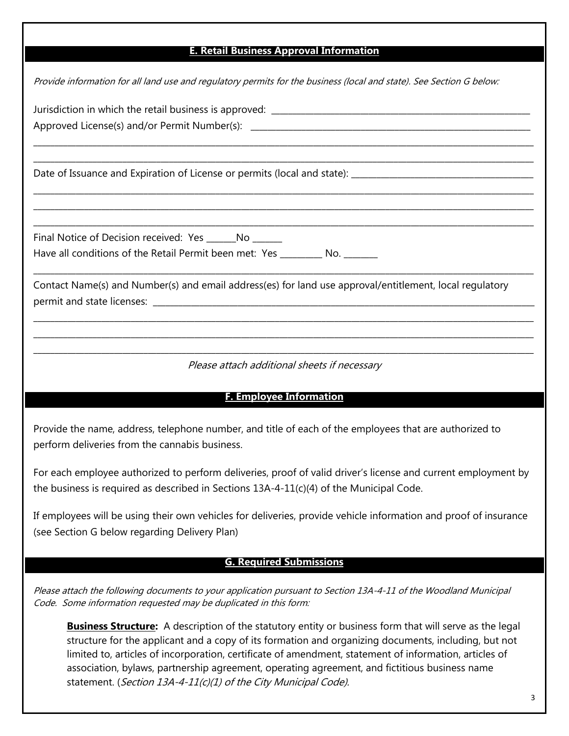## **E. Retail Business Approval Information**

 $\_$  , and the set of the set of the set of the set of the set of the set of the set of the set of the set of the set of the set of the set of the set of the set of the set of the set of the set of the set of the set of th \_\_\_\_\_\_\_\_\_\_\_\_\_\_\_\_\_\_\_\_\_\_\_\_\_\_\_\_\_\_\_\_\_\_\_\_\_\_\_\_\_\_\_\_\_\_\_\_\_\_\_\_\_\_\_\_\_\_\_\_\_\_\_\_\_\_\_\_\_\_\_\_\_\_\_\_\_\_\_\_\_\_\_\_\_\_\_\_\_\_\_\_\_\_\_\_\_\_\_\_\_\_\_\_\_\_\_\_\_\_\_\_\_\_\_\_\_\_

 $\_$  , and the set of the set of the set of the set of the set of the set of the set of the set of the set of the set of the set of the set of the set of the set of the set of the set of the set of the set of the set of th  $\_$  , and the set of the set of the set of the set of the set of the set of the set of the set of the set of the set of the set of the set of the set of the set of the set of the set of the set of the set of the set of th  $\_$  , and the set of the set of the set of the set of the set of the set of the set of the set of the set of the set of the set of the set of the set of the set of the set of the set of the set of the set of the set of th

 $\_$  , and the set of the set of the set of the set of the set of the set of the set of the set of the set of the set of the set of the set of the set of the set of the set of the set of the set of the set of the set of th

\_\_\_\_\_\_\_\_\_\_\_\_\_\_\_\_\_\_\_\_\_\_\_\_\_\_\_\_\_\_\_\_\_\_\_\_\_\_\_\_\_\_\_\_\_\_\_\_\_\_\_\_\_\_\_\_\_\_\_\_\_\_\_\_\_\_\_\_\_\_\_\_\_\_\_\_\_\_\_\_\_\_\_\_\_\_\_\_\_\_\_\_\_\_\_\_\_\_\_\_\_\_\_\_\_\_\_\_\_\_\_\_\_\_\_\_\_\_  $\_$  , and the set of the set of the set of the set of the set of the set of the set of the set of the set of the set of the set of the set of the set of the set of the set of the set of the set of the set of the set of th

Provide information for all land use and regulatory permits for the business (local and state). See Section G below:

Jurisdiction in which the retail business is approved:

Approved License(s) and/or Permit Number(s):

Date of Issuance and Expiration of License or permits (local and state): \_\_\_\_\_\_\_

Final Notice of Decision received: Yes \_\_\_\_\_\_No \_\_\_\_\_\_ Have all conditions of the Retail Permit been met: Yes \_\_\_\_\_\_\_\_\_ No.

Contact Name(s) and Number(s) and email address(es) for land use approval/entitlement, local regulatory permit and state licenses:

\_\_\_\_\_\_\_\_\_\_\_\_\_\_\_\_\_\_\_\_\_\_\_\_\_\_\_\_\_\_\_\_\_\_\_\_\_\_\_\_\_\_\_\_\_\_\_\_\_\_\_\_\_\_\_\_\_\_\_\_\_\_\_\_\_\_\_\_\_\_\_\_\_\_\_\_\_\_\_\_\_\_\_\_\_\_\_\_\_\_\_\_\_\_\_\_\_\_\_\_\_\_\_\_\_\_\_\_\_\_\_\_\_\_\_\_\_\_ Please attach additional sheets if necessary

## **F. Employee Information**

Provide the name, address, telephone number, and title of each of the employees that are authorized to perform deliveries from the cannabis business.

For each employee authorized to perform deliveries, proof of valid driver's license and current employment by the business is required as described in Sections  $13A-4-11(c)(4)$  of the Municipal Code.

If employees will be using their own vehicles for deliveries, provide vehicle information and proof of insurance (see Section G below regarding Delivery Plan)

## **G. Required Submissions**

Please attach the following documents to your application pursuant to Section 13A-4-11 of the Woodland Municipal Code. Some information requested may be duplicated in this form:

**Business Structure:** A description of the statutory entity or business form that will serve as the legal structure for the applicant and a copy of its formation and organizing documents, including, but not limited to, articles of incorporation, certificate of amendment, statement of information, articles of association, bylaws, partnership agreement, operating agreement, and fictitious business name statement. (Section 13A-4-11(c)(1) of the City Municipal Code).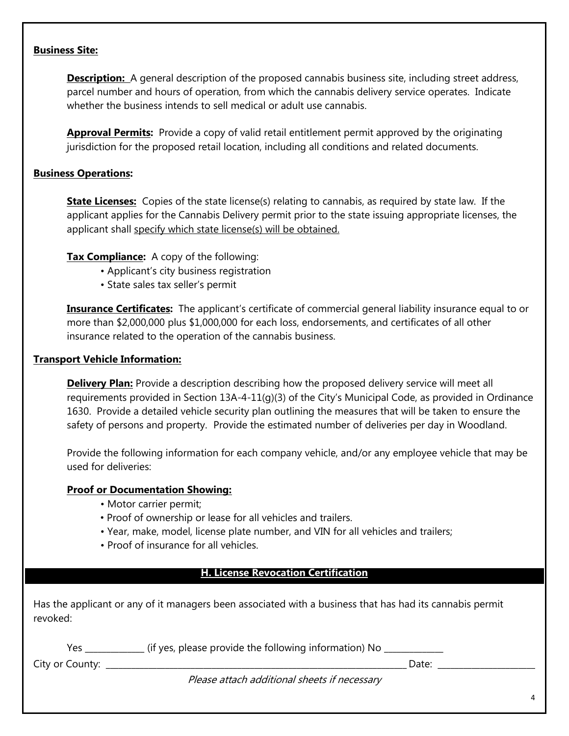## **Business Site:**

**Description:** A general description of the proposed cannabis business site, including street address, parcel number and hours of operation, from which the cannabis delivery service operates. Indicate whether the business intends to sell medical or adult use cannabis.

**Approval Permits:** Provide a copy of valid retail entitlement permit approved by the originating jurisdiction for the proposed retail location, including all conditions and related documents.

## **Business Operations:**

**State Licenses:** Copies of the state license(s) relating to cannabis, as required by state law. If the applicant applies for the Cannabis Delivery permit prior to the state issuing appropriate licenses, the applicant shall specify which state license(s) will be obtained.

## **Tax Compliance:** A copy of the following:

- Applicant's city business registration
- State sales tax seller's permit

**Insurance Certificates:** The applicant's certificate of commercial general liability insurance equal to or more than \$2,000,000 plus \$1,000,000 for each loss, endorsements, and certificates of all other insurance related to the operation of the cannabis business.

#### **Transport Vehicle Information:**

**Delivery Plan:** Provide a description describing how the proposed delivery service will meet all requirements provided in Section 13A-4-11(g)(3) of the City's Municipal Code, as provided in Ordinance 1630. Provide a detailed vehicle security plan outlining the measures that will be taken to ensure the safety of persons and property. Provide the estimated number of deliveries per day in Woodland.

Provide the following information for each company vehicle, and/or any employee vehicle that may be used for deliveries:

#### **Proof or Documentation Showing:**

- Motor carrier permit;
- Proof of ownership or lease for all vehicles and trailers.
- Year, make, model, license plate number, and VIN for all vehicles and trailers;
- Proof of insurance for all vehicles.

#### **H. License Revocation Certification**

Has the applicant or any of it managers been associated with a business that has had its cannabis permit revoked:

|                 | (if yes, please provide the following information) No |  |
|-----------------|-------------------------------------------------------|--|
| City or County: | Date                                                  |  |

**G. Employee Information**

Please attach additional sheets if necessary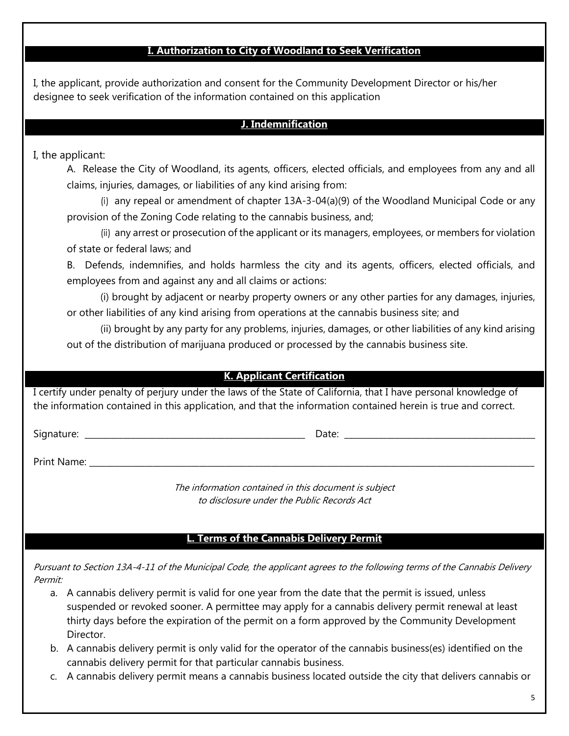# **I. Authorization to City of Woodland to Seek Verification**

I, the applicant, provide authorization and consent for the Community Development Director or his/her designee to seek verification of the information contained on this application

## **J. Indemnification**

# I, the applicant:

A. Release the City of Woodland, its agents, officers, elected officials, and employees from any and all claims, injuries, damages, or liabilities of any kind arising from:

(i) any repeal or amendment of chapter 13A-3-04(a)(9) of the Woodland Municipal Code or any provision of the Zoning Code relating to the cannabis business, and;

(ii) any arrest or prosecution of the applicant or its managers, employees, or members for violation of state or federal laws; and

B. Defends, indemnifies, and holds harmless the city and its agents, officers, elected officials, and employees from and against any and all claims or actions:

(i) brought by adjacent or nearby property owners or any other parties for any damages, injuries, or other liabilities of any kind arising from operations at the cannabis business site; and

(ii) brought by any party for any problems, injuries, damages, or other liabilities of any kind arising out of the distribution of marijuana produced or processed by the cannabis business site.

## **K. Applicant Certification**

I certify under penalty of perjury under the laws of the State of California, that I have personal knowledge of the information contained in this application, and that the information contained herein is true and correct.

Signature: \_\_\_\_\_\_\_\_\_\_\_\_\_\_\_\_\_\_\_\_\_\_\_\_\_\_\_\_\_\_\_\_\_\_\_\_\_\_\_\_\_\_\_\_\_\_\_\_\_\_\_\_ Date: \_\_\_\_\_\_\_\_\_\_\_\_\_\_\_\_\_\_\_\_\_\_\_\_\_\_\_\_\_\_\_\_\_\_\_\_\_\_\_\_\_\_\_\_\_

Print Name: \_\_\_\_\_\_\_\_\_\_\_\_\_\_\_\_\_\_\_\_\_\_\_\_\_\_\_\_\_\_\_\_\_\_\_\_\_\_\_\_\_\_\_\_\_\_\_\_\_\_\_\_\_\_\_\_\_\_\_\_\_\_\_\_\_\_\_\_\_\_\_\_\_\_\_\_\_\_\_\_\_\_\_\_\_\_\_\_\_\_\_\_\_\_\_\_\_\_\_\_\_\_\_\_\_

The information contained in this document is subject to disclosure under the Public Records Act

## **L. Terms of the Cannabis Delivery Permit**

Pursuant to Section 13A-4-11 of the Municipal Code, the applicant agrees to the following terms of the Cannabis Delivery Permit:

- a. A cannabis delivery permit is valid for one year from the date that the permit is issued, unless suspended or revoked sooner. A permittee may apply for a cannabis delivery permit renewal at least thirty days before the expiration of the permit on a form approved by the Community Development Director.
- b. A cannabis delivery permit is only valid for the operator of the cannabis business(es) identified on the cannabis delivery permit for that particular cannabis business.
- c. A cannabis delivery permit means a cannabis business located outside the city that delivers cannabis or